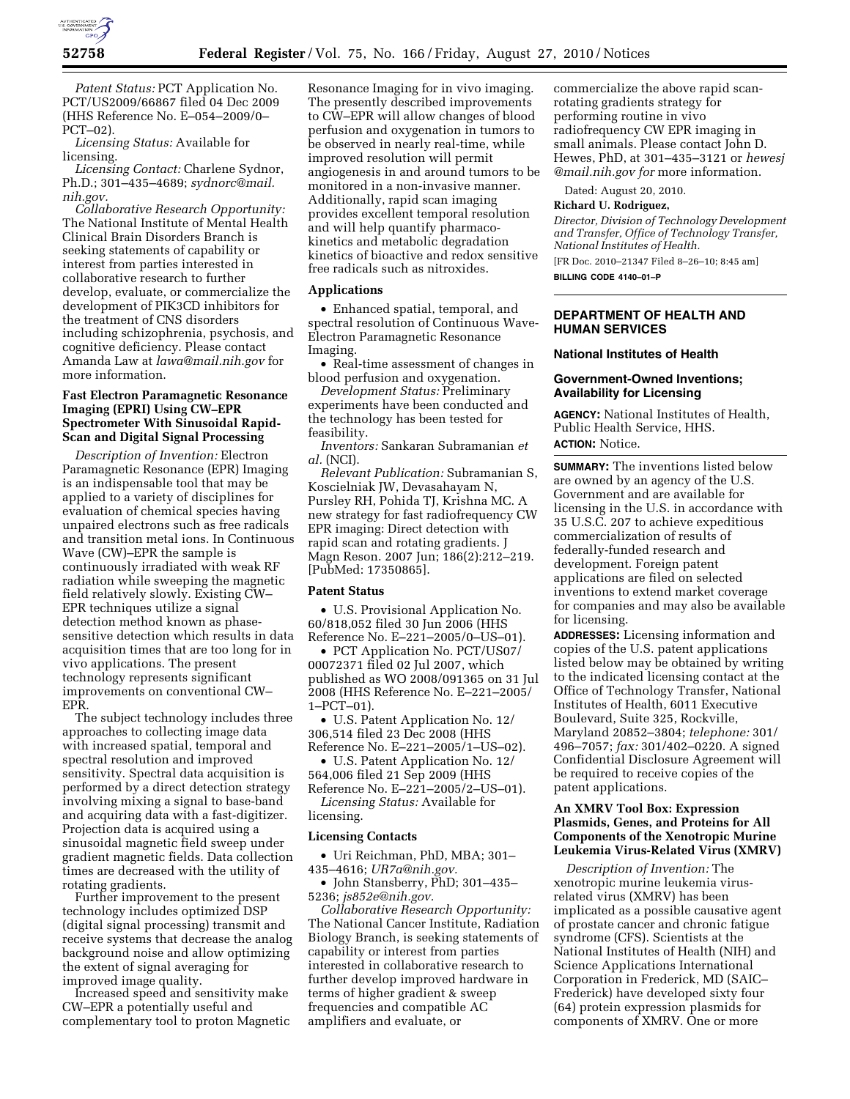

*Patent Status:* PCT Application No. PCT/US2009/66867 filed 04 Dec 2009 (HHS Reference No. E–054–2009/0– PCT–02).

*Licensing Status:* Available for licensing.

*Licensing Contact:* Charlene Sydnor, Ph.D.; 301–435–4689; *[sydnorc@mail.](mailto:sydnorc@mail.nih.gov) [nih.gov.](mailto:sydnorc@mail.nih.gov)* 

*Collaborative Research Opportunity:*  The National Institute of Mental Health Clinical Brain Disorders Branch is seeking statements of capability or interest from parties interested in collaborative research to further develop, evaluate, or commercialize the development of PIK3CD inhibitors for the treatment of CNS disorders including schizophrenia, psychosis, and cognitive deficiency. Please contact Amanda Law at *[lawa@mail.nih.gov](mailto:lawa@mail.nih.gov)* for more information.

## **Fast Electron Paramagnetic Resonance Imaging (EPRI) Using CW–EPR Spectrometer With Sinusoidal Rapid-Scan and Digital Signal Processing**

*Description of Invention:* Electron Paramagnetic Resonance (EPR) Imaging is an indispensable tool that may be applied to a variety of disciplines for evaluation of chemical species having unpaired electrons such as free radicals and transition metal ions. In Continuous Wave (CW)–EPR the sample is continuously irradiated with weak RF radiation while sweeping the magnetic field relatively slowly. Existing CW– EPR techniques utilize a signal detection method known as phasesensitive detection which results in data acquisition times that are too long for in vivo applications. The present technology represents significant improvements on conventional CW– EPR.

The subject technology includes three approaches to collecting image data with increased spatial, temporal and spectral resolution and improved sensitivity. Spectral data acquisition is performed by a direct detection strategy involving mixing a signal to base-band and acquiring data with a fast-digitizer. Projection data is acquired using a sinusoidal magnetic field sweep under gradient magnetic fields. Data collection times are decreased with the utility of rotating gradients.

Further improvement to the present technology includes optimized DSP (digital signal processing) transmit and receive systems that decrease the analog background noise and allow optimizing the extent of signal averaging for improved image quality.

Increased speed and sensitivity make CW–EPR a potentially useful and complementary tool to proton Magnetic Resonance Imaging for in vivo imaging. The presently described improvements to CW–EPR will allow changes of blood perfusion and oxygenation in tumors to be observed in nearly real-time, while improved resolution will permit angiogenesis in and around tumors to be monitored in a non-invasive manner. Additionally, rapid scan imaging provides excellent temporal resolution and will help quantify pharmacokinetics and metabolic degradation kinetics of bioactive and redox sensitive free radicals such as nitroxides.

#### **Applications**

• Enhanced spatial, temporal, and spectral resolution of Continuous Wave-Electron Paramagnetic Resonance Imaging.

• Real-time assessment of changes in blood perfusion and oxygenation.

*Development Status:* Preliminary experiments have been conducted and the technology has been tested for feasibility.

*Inventors:* Sankaran Subramanian *et al.* (NCI).

*Relevant Publication:* Subramanian S, Koscielniak JW, Devasahayam N, Pursley RH, Pohida TJ, Krishna MC. A new strategy for fast radiofrequency CW EPR imaging: Direct detection with rapid scan and rotating gradients. J Magn Reson. 2007 Jun; 186(2):212–219. [PubMed: 17350865].

#### **Patent Status**

• U.S. Provisional Application No. 60/818,052 filed 30 Jun 2006 (HHS Reference No. E–221–2005/0–US–01).

• PCT Application No. PCT/US07/ 00072371 filed 02 Jul 2007, which published as WO 2008/091365 on 31 Jul 2008 (HHS Reference No. E–221–2005/ 1–PCT–01).

• U.S. Patent Application No. 12/ 306,514 filed 23 Dec 2008 (HHS Reference No. E–221–2005/1–US–02).

• U.S. Patent Application No. 12/ 564,006 filed 21 Sep 2009 (HHS Reference No. E–221–2005/2–US–01).

*Licensing Status:* Available for licensing.

#### **Licensing Contacts**

• Uri Reichman, PhD, MBA; 301– 435–4616; *[UR7a@nih.gov.](mailto:UR7a@nih.gov)* 

• John Stansberry, PhD; 301–435– 5236; *[js852e@nih.gov.](mailto:js852e@nih.gov)* 

*Collaborative Research Opportunity:*  The National Cancer Institute, Radiation Biology Branch, is seeking statements of capability or interest from parties interested in collaborative research to further develop improved hardware in terms of higher gradient & sweep frequencies and compatible AC amplifiers and evaluate, or

commercialize the above rapid scanrotating gradients strategy for performing routine in vivo radiofrequency CW EPR imaging in small animals. Please contact John D. [Hewes, PhD, at 301–435–3121 or](mailto:hewesj@mail.nih.gov) *hewesj @mail.nih.gov for* more information.

Dated: August 20, 2010.

# **Richard U. Rodriguez,**

*Director, Division of Technology Development and Transfer, Office of Technology Transfer, National Institutes of Health.*  [FR Doc. 2010–21347 Filed 8–26–10; 8:45 am]

**BILLING CODE 4140–01–P** 

## **DEPARTMENT OF HEALTH AND HUMAN SERVICES**

#### **National Institutes of Health**

## **Government-Owned Inventions; Availability for Licensing**

**AGENCY:** National Institutes of Health, Public Health Service, HHS. **ACTION:** Notice.

**SUMMARY:** The inventions listed below are owned by an agency of the U.S. Government and are available for licensing in the U.S. in accordance with 35 U.S.C. 207 to achieve expeditious commercialization of results of federally-funded research and development. Foreign patent applications are filed on selected inventions to extend market coverage for companies and may also be available for licensing.

**ADDRESSES:** Licensing information and copies of the U.S. patent applications listed below may be obtained by writing to the indicated licensing contact at the Office of Technology Transfer, National Institutes of Health, 6011 Executive Boulevard, Suite 325, Rockville, Maryland 20852–3804; *telephone:* 301/ 496–7057; *fax:* 301/402–0220. A signed Confidential Disclosure Agreement will be required to receive copies of the patent applications.

# **An XMRV Tool Box: Expression Plasmids, Genes, and Proteins for All Components of the Xenotropic Murine Leukemia Virus-Related Virus (XMRV)**

*Description of Invention:* The xenotropic murine leukemia virusrelated virus (XMRV) has been implicated as a possible causative agent of prostate cancer and chronic fatigue syndrome (CFS). Scientists at the National Institutes of Health (NIH) and Science Applications International Corporation in Frederick, MD (SAIC– Frederick) have developed sixty four (64) protein expression plasmids for components of XMRV. One or more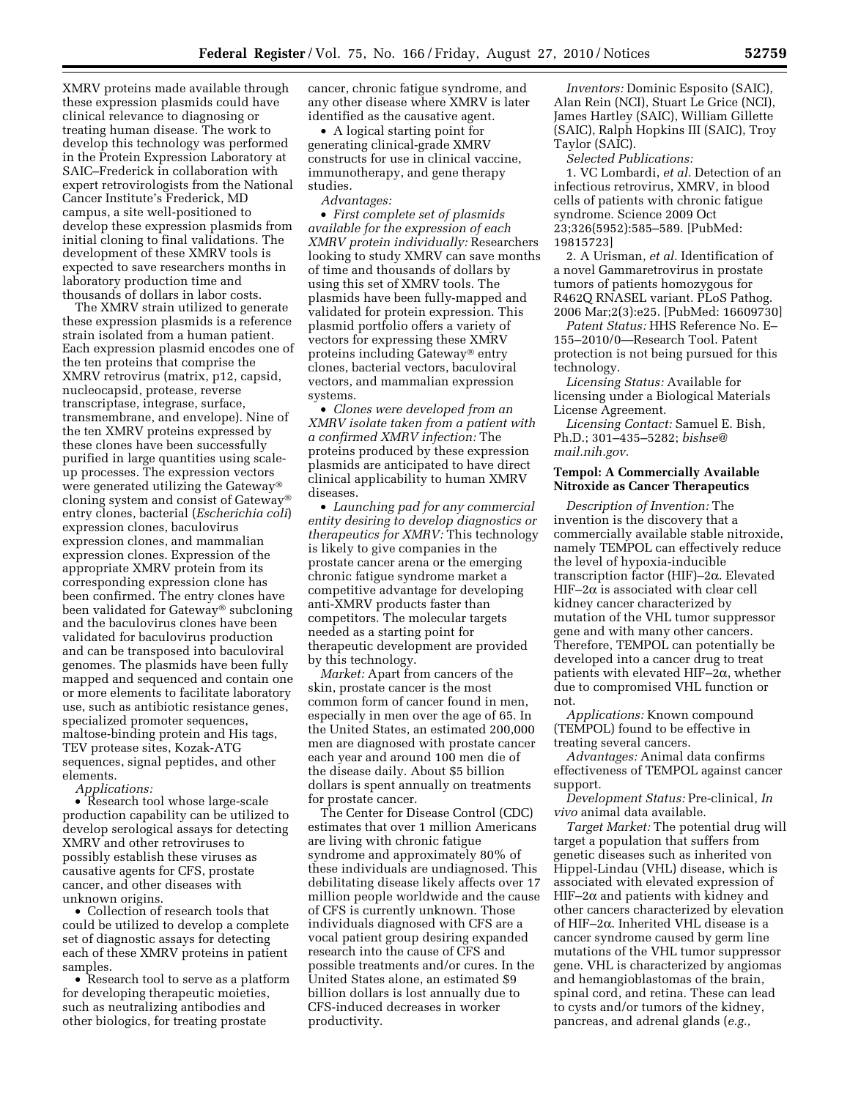XMRV proteins made available through these expression plasmids could have clinical relevance to diagnosing or treating human disease. The work to develop this technology was performed in the Protein Expression Laboratory at SAIC–Frederick in collaboration with expert retrovirologists from the National Cancer Institute's Frederick, MD campus, a site well-positioned to develop these expression plasmids from initial cloning to final validations. The development of these XMRV tools is expected to save researchers months in laboratory production time and thousands of dollars in labor costs.

The XMRV strain utilized to generate these expression plasmids is a reference strain isolated from a human patient. Each expression plasmid encodes one of the ten proteins that comprise the XMRV retrovirus (matrix, p12, capsid, nucleocapsid, protease, reverse transcriptase, integrase, surface, transmembrane, and envelope). Nine of the ten XMRV proteins expressed by these clones have been successfully purified in large quantities using scaleup processes. The expression vectors were generated utilizing the Gateway® cloning system and consist of Gateway® entry clones, bacterial (*Escherichia coli*) expression clones, baculovirus expression clones, and mammalian expression clones. Expression of the appropriate XMRV protein from its corresponding expression clone has been confirmed. The entry clones have been validated for Gateway® subcloning and the baculovirus clones have been validated for baculovirus production and can be transposed into baculoviral genomes. The plasmids have been fully mapped and sequenced and contain one or more elements to facilitate laboratory use, such as antibiotic resistance genes, specialized promoter sequences, maltose-binding protein and His tags, TEV protease sites, Kozak-ATG sequences, signal peptides, and other elements.

*Applications:* 

• Research tool whose large-scale production capability can be utilized to develop serological assays for detecting XMRV and other retroviruses to possibly establish these viruses as causative agents for CFS, prostate cancer, and other diseases with unknown origins.

• Collection of research tools that could be utilized to develop a complete set of diagnostic assays for detecting each of these XMRV proteins in patient samples.

• Research tool to serve as a platform for developing therapeutic moieties, such as neutralizing antibodies and other biologics, for treating prostate

cancer, chronic fatigue syndrome, and any other disease where XMRV is later identified as the causative agent.

• A logical starting point for generating clinical-grade XMRV constructs for use in clinical vaccine, immunotherapy, and gene therapy studies.

*Advantages:* 

• *First complete set of plasmids available for the expression of each XMRV protein individually:* Researchers looking to study XMRV can save months of time and thousands of dollars by using this set of XMRV tools. The plasmids have been fully-mapped and validated for protein expression. This plasmid portfolio offers a variety of vectors for expressing these XMRV proteins including Gateway® entry clones, bacterial vectors, baculoviral vectors, and mammalian expression systems.

• *Clones were developed from an XMRV isolate taken from a patient with a confirmed XMRV infection:* The proteins produced by these expression plasmids are anticipated to have direct clinical applicability to human XMRV diseases.

• *Launching pad for any commercial entity desiring to develop diagnostics or therapeutics for XMRV:* This technology is likely to give companies in the prostate cancer arena or the emerging chronic fatigue syndrome market a competitive advantage for developing anti-XMRV products faster than competitors. The molecular targets needed as a starting point for therapeutic development are provided by this technology.

*Market:* Apart from cancers of the skin, prostate cancer is the most common form of cancer found in men, especially in men over the age of 65. In the United States, an estimated 200,000 men are diagnosed with prostate cancer each year and around 100 men die of the disease daily. About \$5 billion dollars is spent annually on treatments for prostate cancer.

The Center for Disease Control (CDC) estimates that over 1 million Americans are living with chronic fatigue syndrome and approximately 80% of these individuals are undiagnosed. This debilitating disease likely affects over 17 million people worldwide and the cause of CFS is currently unknown. Those individuals diagnosed with CFS are a vocal patient group desiring expanded research into the cause of CFS and possible treatments and/or cures. In the United States alone, an estimated \$9 billion dollars is lost annually due to CFS-induced decreases in worker productivity.

*Inventors:* Dominic Esposito (SAIC), Alan Rein (NCI), Stuart Le Grice (NCI), James Hartley (SAIC), William Gillette (SAIC), Ralph Hopkins III (SAIC), Troy Taylor (SAIC).

*Selected Publications:* 

1. VC Lombardi, *et al.* Detection of an infectious retrovirus, XMRV, in blood cells of patients with chronic fatigue syndrome. Science 2009 Oct 23;326(5952):585–589. [PubMed: 19815723]

2. A Urisman, *et al.* Identification of a novel Gammaretrovirus in prostate tumors of patients homozygous for R462Q RNASEL variant. PLoS Pathog. 2006 Mar;2(3):e25. [PubMed: 16609730]

*Patent Status:* HHS Reference No. E– 155–2010/0—Research Tool. Patent protection is not being pursued for this technology.

*Licensing Status:* Available for licensing under a Biological Materials License Agreement.

*Licensing Contact:* Samuel E. Bish, Ph.D.; 301–435–5282; *[bishse@](mailto:bishse@mail.nih.gov) [mail.nih.gov.](mailto:bishse@mail.nih.gov)* 

#### **Tempol: A Commercially Available Nitroxide as Cancer Therapeutics**

*Description of Invention:* The invention is the discovery that a commercially available stable nitroxide, namely TEMPOL can effectively reduce the level of hypoxia-inducible transcription factor (HIF)–2a. Elevated  $HIF-2\alpha$  is associated with clear cell kidney cancer characterized by mutation of the VHL tumor suppressor gene and with many other cancers. Therefore, TEMPOL can potentially be developed into a cancer drug to treat patients with elevated  $HIF-2\alpha$ , whether due to compromised VHL function or not.

*Applications:* Known compound (TEMPOL) found to be effective in treating several cancers.

*Advantages:* Animal data confirms effectiveness of TEMPOL against cancer support.

*Development Status:* Pre-clinical, *In vivo* animal data available.

*Target Market:* The potential drug will target a population that suffers from genetic diseases such as inherited von Hippel-Lindau (VHL) disease, which is associated with elevated expression of HIF–2 $\alpha$  and patients with kidney and other cancers characterized by elevation of HIF-2 $\alpha$ . Inherited VHL disease is a cancer syndrome caused by germ line mutations of the VHL tumor suppressor gene. VHL is characterized by angiomas and hemangioblastomas of the brain, spinal cord, and retina. These can lead to cysts and/or tumors of the kidney, pancreas, and adrenal glands (*e.g.,*